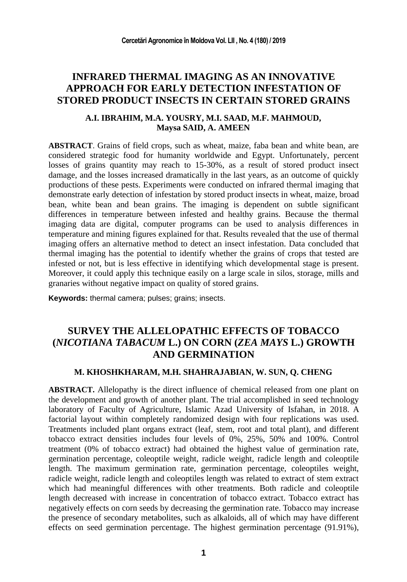### **INFRARED THERMAL IMAGING AS AN INNOVATIVE APPROACH FOR EARLY DETECTION INFESTATION OF STORED PRODUCT INSECTS IN CERTAIN STORED GRAINS**

### **A.I. IBRAHIM, M.A. YOUSRY, M.I. SAAD, M.F. MAHMOUD, Maysa SAID, A. AMEEN**

**ABSTRACT**. Grains of field crops, such as wheat, maize, faba bean and white bean, are considered strategic food for humanity worldwide and Egypt. Unfortunately, percent losses of grains quantity may reach to 15-30%, as a result of stored product insect damage, and the losses increased dramatically in the last years, as an outcome of quickly productions of these pests. Experiments were conducted on infrared thermal imaging that demonstrate early detection of infestation by stored product insects in wheat, maize, broad bean, white bean and bean grains. The imaging is dependent on subtle significant differences in temperature between infested and healthy grains. Because the thermal imaging data are digital, computer programs can be used to analysis differences in temperature and mining figures explained for that. Results revealed that the use of thermal imaging offers an alternative method to detect an insect infestation. Data concluded that thermal imaging has the potential to identify whether the grains of crops that tested are infested or not, but is less effective in identifying which developmental stage is present. Moreover, it could apply this technique easily on a large scale in silos, storage, mills and granaries without negative impact on quality of stored grains.

**Keywords:** thermal camera; pulses; grains; insects.

# **SURVEY THE ALLELOPATHIC EFFECTS OF TOBACCO (***NICOTIANA TABACUM* **L.) ON CORN (***ZEA MAYS* **L.) GROWTH AND GERMINATION**

### **M. KHOSHKHARAM, M.H. SHAHRAJABIAN, W. SUN, Q. CHENG**

**ABSTRACT.** Allelopathy is the direct influence of chemical released from one plant on the development and growth of another plant. The trial accomplished in seed technology laboratory of Faculty of Agriculture, Islamic Azad University of Isfahan, in 2018. A factorial layout within completely randomized design with four replications was used. Treatments included plant organs extract (leaf, stem, root and total plant), and different tobacco extract densities includes four levels of 0%, 25%, 50% and 100%. Control treatment (0% of tobacco extract) had obtained the highest value of germination rate, germination percentage, coleoptile weight, radicle weight, radicle length and coleoptile length. The maximum germination rate, germination percentage, coleoptiles weight, radicle weight, radicle length and coleoptiles length was related to extract of stem extract which had meaningful differences with other treatments. Both radicle and coleoptile length decreased with increase in concentration of tobacco extract. Tobacco extract has negatively effects on corn seeds by decreasing the germination rate. Tobacco may increase the presence of secondary metabolites, such as alkaloids, all of which may have different effects on seed germination percentage. The highest germination percentage (91.91%),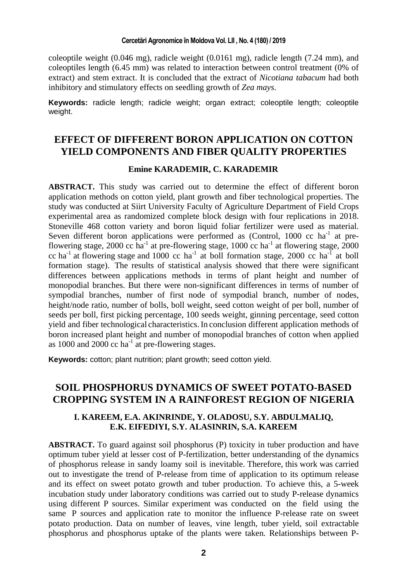coleoptile weight (0.046 mg), radicle weight (0.0161 mg), radicle length (7.24 mm), and coleoptiles length (6.45 mm) was related to interaction between control treatment (0% of extract) and stem extract. It is concluded that the extract of *Nicotiana tabacum* had both inhibitory and stimulatory effects on seedling growth of *Zea mays*.

**Keywords:** radicle length; radicle weight; organ extract; coleoptile length; coleoptile weight.

## **EFFECT OF DIFFERENT BORON APPLICATION ON COTTON YIELD COMPONENTS AND FIBER QUALITY PROPERTIES**

#### **Emine KARADEMIR, C. KARADEMIR**

**ABSTRACT.** This study was carried out to determine the effect of different boron application methods on cotton yield, plant growth and fiber technological properties. The study was conducted at Siirt University Faculty of Agriculture Department of Field Crops experimental area as randomized complete block design with four replications in 2018. Stoneville 468 cotton variety and boron liquid foliar fertilizer were used as material. Seven different boron applications were performed as (Control, 1000 cc ha<sup>-1</sup> at preflowering stage, 2000 cc ha<sup>-1</sup> at pre-flowering stage, 1000 cc ha<sup>-1</sup> at flowering stage, 2000 cc ha<sup>-1</sup> at flowering stage and 1000 cc ha<sup>-1</sup> at boll formation stage, 2000 cc ha<sup>-1</sup> at boll formation stage). The results of statistical analysis showed that there were significant differences between applications methods in terms of plant height and number of monopodial branches. But there were non-significant differences in terms of number of sympodial branches, number of first node of sympodial branch, number of nodes, height/node ratio, number of bolls, boll weight, seed cotton weight of per boll, number of seeds per boll, first picking percentage, 100 seeds weight, ginning percentage, seed cotton yield and fiber technological characteristics.In conclusion different application methods of boron increased plant height and number of monopodial branches of cotton when applied as 1000 and 2000  $\rm cc$  ha<sup>-1</sup> at pre-flowering stages.

**Keywords:** cotton; plant nutrition; plant growth; seed cotton yield.

### **SOIL PHOSPHORUS DYNAMICS OF SWEET POTATO-BASED CROPPING SYSTEM IN A RAINFOREST REGION OF NIGERIA**

### **I. KAREEM, E.A. AKINRINDE, Y. OLADOSU, S.Y. ABDULMALIQ, E.K. EIFEDIYI, S.Y. ALASINRIN, S.A. KAREEM**

**ABSTRACT.** To guard against soil phosphorus (P) toxicity in tuber production and have optimum tuber yield at lesser cost of P-fertilization, better understanding of the dynamics of phosphorus release in sandy loamy soil is inevitable. Therefore, this work was carried out to investigate the trend of P-release from time of application to its optimum release and its effect on sweet potato growth and tuber production. To achieve this, a 5-week incubation study under laboratory conditions was carried out to study P-release dynamics using different P sources. Similar experiment was conducted on the field using the same P sources and application rate to monitor the influence P-release rate on sweet potato production. Data on number of leaves, vine length, tuber yield, soil extractable phosphorus and phosphorus uptake of the plants were taken. Relationships between P-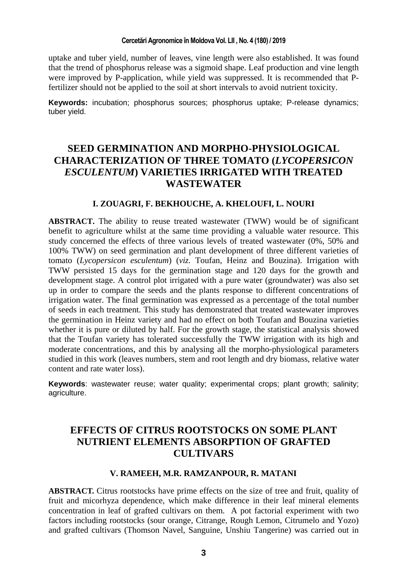uptake and tuber yield, number of leaves, vine length were also established. It was found that the trend of phosphorus release was a sigmoid shape. Leaf production and vine length were improved by P-application, while yield was suppressed. It is recommended that Pfertilizer should not be applied to the soil at short intervals to avoid nutrient toxicity.

**Keywords:** incubation; phosphorus sources; phosphorus uptake; P-release dynamics; tuber yield.

# **SEED GERMINATION AND MORPHO-PHYSIOLOGICAL CHARACTERIZATION OF THREE TOMATO (***LYCOPERSICON ESCULENTUM***) VARIETIES IRRIGATED WITH TREATED WASTEWATER**

### **I. ZOUAGRI, F. BEKHOUCHE, A. KHELOUFI, L. NOURI**

**ABSTRACT.** The ability to reuse treated wastewater (TWW) would be of significant benefit to agriculture whilst at the same time providing a valuable water resource. This study concerned the effects of three various levels of treated wastewater (0%, 50% and 100% TWW) on seed germination and plant development of three different varieties of tomato (*Lycopersicon esculentum*) (*viz.* Toufan, Heinz and Bouzina). Irrigation with TWW persisted 15 days for the germination stage and 120 days for the growth and development stage. A control plot irrigated with a pure water (groundwater) was also set up in order to compare the seeds and the plants response to different concentrations of irrigation water. The final germination was expressed as a percentage of the total number of seeds in each treatment. This study has demonstrated that treated wastewater improves the germination in Heinz variety and had no effect on both Toufan and Bouzina varieties whether it is pure or diluted by half. For the growth stage, the statistical analysis showed that the Toufan variety has tolerated successfully the TWW irrigation with its high and moderate concentrations, and this by analysing all the morpho-physiological parameters studied in this work (leaves numbers, stem and root length and dry biomass, relative water content and rate water loss).

**Keywords**: wastewater reuse; water quality; experimental crops; plant growth; salinity; agriculture.

# **EFFECTS OF CITRUS ROOTSTOCKS ON SOME PLANT NUTRIENT ELEMENTS ABSORPTION OF GRAFTED CULTIVARS**

#### **V. RAMEEH, M.R. RAMZANPOUR, R. MATANI**

**ABSTRACT.** Citrus rootstocks have prime effects on the size of tree and fruit, quality of fruit and micorhyza dependence, which make difference in their leaf mineral elements concentration in leaf of grafted cultivars on them. A pot factorial experiment with two factors including rootstocks (sour orange, Citrange, Rough Lemon, Citrumelo and Yozo) and grafted cultivars (Thomson Navel, Sanguine, Unshiu Tangerine) was carried out in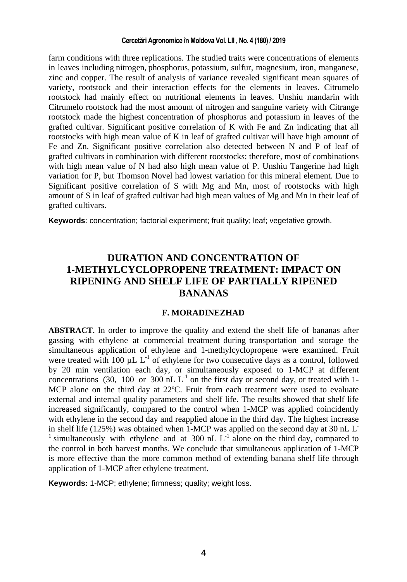farm conditions with three replications. The studied traits were concentrations of elements in leaves including nitrogen, phosphorus, potassium, sulfur, magnesium, iron, manganese, zinc and copper. The result of analysis of variance revealed significant mean squares of variety, rootstock and their interaction effects for the elements in leaves. Citrumelo rootstock had mainly effect on nutritional elements in leaves. Unshiu mandarin with Citrumelo rootstock had the most amount of nitrogen and sanguine variety with Citrange rootstock made the highest concentration of phosphorus and potassium in leaves of the grafted cultivar. Significant positive correlation of K with Fe and Zn indicating that all rootstocks with high mean value of K in leaf of grafted cultivar will have high amount of Fe and Zn. Significant positive correlation also detected between N and P of leaf of grafted cultivars in combination with different rootstocks; therefore, most of combinations with high mean value of N had also high mean value of P. Unshiu Tangerine had high variation for P, but Thomson Novel had lowest variation for this mineral element. Due to Significant positive correlation of S with Mg and Mn, most of rootstocks with high amount of S in leaf of grafted cultivar had high mean values of Mg and Mn in their leaf of grafted cultivars.

**Keywords**: concentration; factorial experiment; fruit quality; leaf; vegetative growth.

# **DURATION AND CONCENTRATION OF 1-METHYLCYCLOPROPENE TREATMENT: IMPACT ON RIPENING AND SHELF LIFE OF PARTIALLY RIPENED BANANAS**

### **F. MORADINEZHAD**

**ABSTRACT.** In order to improve the quality and extend the shelf life of bananas after gassing with ethylene at commercial treatment during transportation and storage the simultaneous application of ethylene and 1-methylcyclopropene were examined. Fruit were treated with 100  $\mu$ L L<sup>-1</sup> of ethylene for two consecutive days as a control, followed by 20 min ventilation each day, or simultaneously exposed to 1-MCP at different concentrations (30, 100 or 300 nL  $L^{-1}$  on the first day or second day, or treated with 1-MCP alone on the third day at 22ºC. Fruit from each treatment were used to evaluate external and internal quality parameters and shelf life. The results showed that shelf life increased significantly, compared to the control when 1-MCP was applied coincidently with ethylene in the second day and reapplied alone in the third day. The highest increase in shelf life (125%) was obtained when 1-MCP was applied on the second day at 30 nL L-<sup>1</sup> simultaneously with ethylene and at 300 nL  $L^{-1}$  alone on the third day, compared to the control in both harvest months. We conclude that simultaneous application of 1-MCP is more effective than the more common method of extending banana shelf life through application of 1-MCP after ethylene treatment.

**Keywords:** 1-MCP; ethylene; firmness; quality; weight loss.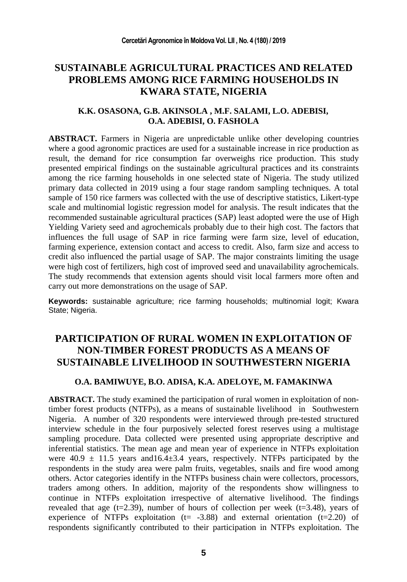## **SUSTAINABLE AGRICULTURAL PRACTICES AND RELATED PROBLEMS AMONG RICE FARMING HOUSEHOLDS IN KWARA STATE, NIGERIA**

### **K.K. OSASONA, G.B. AKINSOLA , M.F. SALAMI, L.O. ADEBISI, O.A. ADEBISI, O. FASHOLA**

**ABSTRACT.** Farmers in Nigeria are unpredictable unlike other developing countries where a good agronomic practices are used for a sustainable increase in rice production as result, the demand for rice consumption far overweighs rice production. This study presented empirical findings on the sustainable agricultural practices and its constraints among the rice farming households in one selected state of Nigeria. The study utilized primary data collected in 2019 using a four stage random sampling techniques. A total sample of 150 rice farmers was collected with the use of descriptive statistics, Likert-type scale and multinomial logistic regression model for analysis. The result indicates that the recommended sustainable agricultural practices (SAP) least adopted were the use of High Yielding Variety seed and agrochemicals probably due to their high cost. The factors that influences the full usage of SAP in rice farming were farm size, level of education, farming experience, extension contact and access to credit. Also, farm size and access to credit also influenced the partial usage of SAP. The major constraints limiting the usage were high cost of fertilizers, high cost of improved seed and unavailability agrochemicals. The study recommends that extension agents should visit local farmers more often and carry out more demonstrations on the usage of SAP.

**Keywords:** sustainable agriculture; rice farming households; multinomial logit; Kwara State; Nigeria.

## **PARTICIPATION OF RURAL WOMEN IN EXPLOITATION OF NON-TIMBER FOREST PRODUCTS AS A MEANS OF SUSTAINABLE LIVELIHOOD IN SOUTHWESTERN NIGERIA**

### **O.A. BAMIWUYE, B.O. ADISA, K.A. ADELOYE, M. FAMAKINWA**

**ABSTRACT.** The study examined the participation of rural women in exploitation of nontimber forest products (NTFPs), as a means of sustainable livelihood in Southwestern Nigeria. A number of 320 respondents were interviewed through pre-tested structured interview schedule in the four purposively selected forest reserves using a multistage sampling procedure. Data collected were presented using appropriate descriptive and inferential statistics. The mean age and mean year of experience in NTFPs exploitation were  $40.9 \pm 11.5$  years and  $16.4 \pm 3.4$  years, respectively. NTFPs participated by the respondents in the study area were palm fruits, vegetables, snails and fire wood among others. Actor categories identify in the NTFPs business chain were collectors, processors, traders among others. In addition, majority of the respondents show willingness to continue in NTFPs exploitation irrespective of alternative livelihood. The findings revealed that age  $(t=2.39)$ , number of hours of collection per week  $(t=3.48)$ , years of experience of NTFPs exploitation  $(t= -3.88)$  and external orientation  $(t=2.20)$  of respondents significantly contributed to their participation in NTFPs exploitation. The